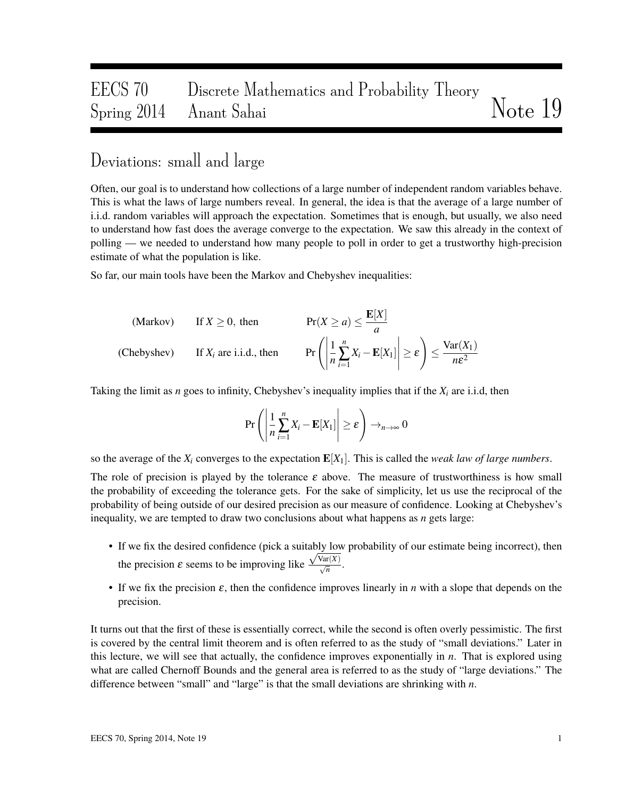## EECS 70 Discrete Mathematics and Probability Theory Spring 2014 Anant Sahai Note 19

## Deviations: small and large

Often, our goal is to understand how collections of a large number of independent random variables behave. This is what the laws of large numbers reveal. In general, the idea is that the average of a large number of i.i.d. random variables will approach the expectation. Sometimes that is enough, but usually, we also need to understand how fast does the average converge to the expectation. We saw this already in the context of polling — we needed to understand how many people to poll in order to get a trustworthy high-precision estimate of what the population is like.

So far, our main tools have been the Markov and Chebyshev inequalities:

(Markov)

\n
$$
\text{If } X \geq 0 \text{, then } \qquad \text{Pr}(X \geq a) \leq \frac{\mathbf{E}[X]}{a}
$$
\n(Chebyshev)

\n
$$
\text{If } X_i \text{ are i.i.d., then } \qquad \text{Pr}\left(\left|\frac{1}{n}\sum_{i=1}^n X_i - \mathbf{E}[X_1]\right| \geq \varepsilon\right) \leq \frac{\text{Var}(X_1)}{n\varepsilon^2}
$$

Taking the limit as *n* goes to infinity, Chebyshev's inequality implies that if the *X<sup>i</sup>* are i.i.d, then

$$
\Pr\left(\left|\frac{1}{n}\sum_{i=1}^{n}X_{i}-\mathbf{E}[X_{1}]\right|\geq \varepsilon\right)\to_{n\to\infty} 0
$$

so the average of the  $X_i$  converges to the expectation  $E[X_1]$ . This is called the *weak law of large numbers*.

The role of precision is played by the tolerance  $\varepsilon$  above. The measure of trustworthiness is how small the probability of exceeding the tolerance gets. For the sake of simplicity, let us use the reciprocal of the probability of being outside of our desired precision as our measure of confidence. Looking at Chebyshev's inequality, we are tempted to draw two conclusions about what happens as *n* gets large:

- If we fix the desired confidence (pick a suitably low probability of our estimate being incorrect), then the precision  $\varepsilon$  seems to be improving like  $\frac{\sqrt{\text{Var}(X)}}{\sqrt{n}}$ .
- If we fix the precision ε, then the confidence improves linearly in *n* with a slope that depends on the precision.

It turns out that the first of these is essentially correct, while the second is often overly pessimistic. The first is covered by the central limit theorem and is often referred to as the study of "small deviations." Later in this lecture, we will see that actually, the confidence improves exponentially in *n*. That is explored using what are called Chernoff Bounds and the general area is referred to as the study of "large deviations." The difference between "small" and "large" is that the small deviations are shrinking with *n*.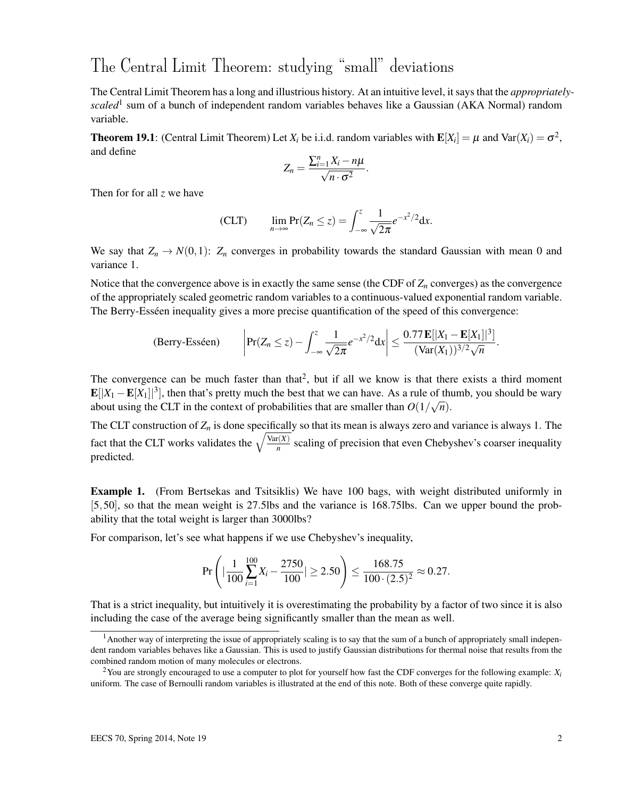## The Central Limit Theorem: studying "small" deviations

The Central Limit Theorem has a long and illustrious history. At an intuitive level, it says that the *appropriatelyscaled*<sup>1</sup> sum of a bunch of independent random variables behaves like a Gaussian (AKA Normal) random variable.

**Theorem 19.1**: (Central Limit Theorem) Let  $X_i$  be i.i.d. random variables with  $\mathbf{E}[X_i] = \mu$  and  $\text{Var}(X_i) = \sigma^2$ , and define

$$
Z_n=\frac{\sum_{i=1}^n X_i-n\mu}{\sqrt{n\cdot\sigma^2}}.
$$

Then for for all *z* we have

$$
\text{(CLT)} \qquad \lim_{n\to\infty}\Pr(Z_n\leq z)=\int_{-\infty}^z\frac{1}{\sqrt{2\pi}}e^{-x^2/2}\mathrm{d}x.
$$

We say that  $Z_n \to N(0,1)$ :  $Z_n$  converges in probability towards the standard Gaussian with mean 0 and variance 1.

Notice that the convergence above is in exactly the same sense (the CDF of  $Z_n$  converges) as the convergence of the appropriately scaled geometric random variables to a continuous-valued exponential random variable. The Berry-Esséen inequality gives a more precise quantification of the speed of this convergence:

(Berry-Esséen) 
$$
\left|\Pr(Z_n \leq z) - \int_{-\infty}^z \frac{1}{\sqrt{2\pi}} e^{-x^2/2} dx\right| \leq \frac{0.77 \mathbf{E}[|X_1 - \mathbf{E}[X_1]|^3]}{(\text{Var}(X_1))^{3/2} \sqrt{n}}.
$$

The convergence can be much faster than that<sup>2</sup>, but if all we know is that there exists a third moment  $\mathbf{E}[|X_1 - \mathbf{E}[X_1]|^3]$ , then that's pretty much the best that we can have. As a rule of thumb, you should be wary about using the CLT in the context of probabilities that are smaller than  $O(1/\sqrt{n})$ .

The CLT construction of  $Z_n$  is done specifically so that its mean is always zero and variance is always 1. The fact that the CLT works validates the  $\sqrt{\frac{\text{Var}(X)}{n}}$  $\frac{n(N)}{n}$  scaling of precision that even Chebyshev's coarser inequality predicted.

Example 1. (From Bertsekas and Tsitsiklis) We have 100 bags, with weight distributed uniformly in [5,50], so that the mean weight is 27.5lbs and the variance is 168.75lbs. Can we upper bound the probability that the total weight is larger than 3000lbs?

For comparison, let's see what happens if we use Chebyshev's inequality,

$$
\Pr\left(|\frac{1}{100}\sum_{i=1}^{100}X_i-\frac{2750}{100}|\geq 2.50\right)\leq \frac{168.75}{100\cdot (2.5)^2}\approx 0.27.
$$

That is a strict inequality, but intuitively it is overestimating the probability by a factor of two since it is also including the case of the average being significantly smaller than the mean as well.

<sup>&</sup>lt;sup>1</sup> Another way of interpreting the issue of appropriately scaling is to say that the sum of a bunch of appropriately small independent random variables behaves like a Gaussian. This is used to justify Gaussian distributions for thermal noise that results from the combined random motion of many molecules or electrons.

<sup>2</sup>You are strongly encouraged to use a computer to plot for yourself how fast the CDF converges for the following example: *X<sup>i</sup>* uniform. The case of Bernoulli random variables is illustrated at the end of this note. Both of these converge quite rapidly.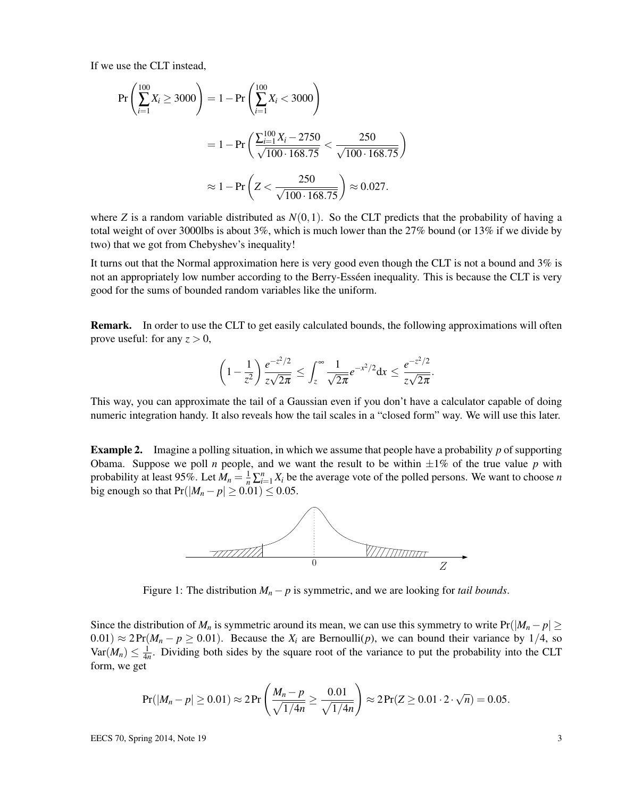If we use the CLT instead,

$$
\Pr\left(\sum_{i=1}^{100} X_i \ge 3000\right) = 1 - \Pr\left(\sum_{i=1}^{100} X_i < 3000\right)
$$
\n
$$
= 1 - \Pr\left(\frac{\sum_{i=1}^{100} X_i - 2750}{\sqrt{100 \cdot 168.75}} < \frac{250}{\sqrt{100 \cdot 168.75}}\right)
$$
\n
$$
\approx 1 - \Pr\left(Z < \frac{250}{\sqrt{100 \cdot 168.75}}\right) \approx 0.027.
$$

where *Z* is a random variable distributed as  $N(0,1)$ . So the CLT predicts that the probability of having a total weight of over 3000lbs is about 3%, which is much lower than the 27% bound (or 13% if we divide by two) that we got from Chebyshev's inequality!

It turns out that the Normal approximation here is very good even though the CLT is not a bound and 3% is not an appropriately low number according to the Berry-Esséen inequality. This is because the CLT is very good for the sums of bounded random variables like the uniform.

Remark. In order to use the CLT to get easily calculated bounds, the following approximations will often prove useful: for any  $z > 0$ ,

$$
\left(1 - \frac{1}{z^2}\right) \frac{e^{-z^2/2}}{z\sqrt{2\pi}} \le \int_z^{\infty} \frac{1}{\sqrt{2\pi}} e^{-x^2/2} dx \le \frac{e^{-z^2/2}}{z\sqrt{2\pi}}.
$$

This way, you can approximate the tail of a Gaussian even if you don't have a calculator capable of doing numeric integration handy. It also reveals how the tail scales in a "closed form" way. We will use this later.

Example 2. Imagine a polling situation, in which we assume that people have a probability *p* of supporting Obama. Suppose we poll *n* people, and we want the result to be within  $\pm 1\%$  of the true value *p* with probability at least 95%. Let  $M_n = \frac{1}{n} \sum_{i=1}^n X_i$  be the average vote of the polled persons. We want to choose *n* big enough so that  $Pr(|M_n - p| \ge 0.01) \le 0.05$ .



Figure 1: The distribution  $M_n - p$  is symmetric, and we are looking for *tail bounds*.

Since the distribution of  $M_n$  is symmetric around its mean, we can use this symmetry to write  $Pr(|M_n - p| \geq$  $(0.01) \approx 2 \Pr(M_n - p \ge 0.01)$ . Because the  $X_i$  are Bernoulli(*p*), we can bound their variance by 1/4, so  $Var(M_n) \leq \frac{1}{4n}$ . Dividing both sides by the square root of the variance to put the probability into the CLT form, we get

$$
Pr(|M_n - p| \ge 0.01) \approx 2 \Pr\left(\frac{M_n - p}{\sqrt{1/4n}} \ge \frac{0.01}{\sqrt{1/4n}}\right) \approx 2 \Pr(Z \ge 0.01 \cdot 2 \cdot \sqrt{n}) = 0.05.
$$

EECS 70, Spring 2014, Note 19  $\frac{3}{3}$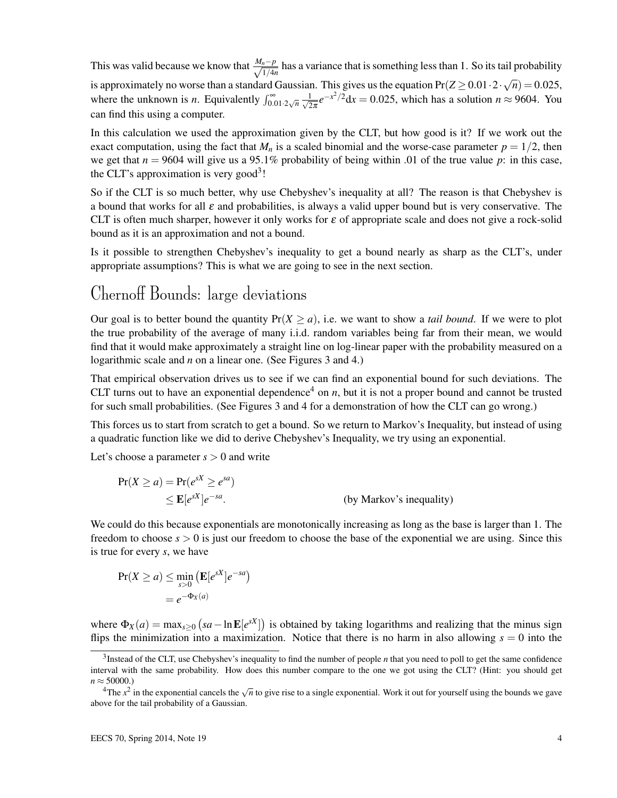This was valid because we know that  $\frac{M_n - p}{\sqrt{M_n}}$  $\frac{n-p}{1/4n}$  has a variance that is something less than 1. So its tail probability is approximately no worse than a standard Gaussian. This gives us the equation  $Pr(Z \ge 0.01 \cdot 2 \cdot \sqrt{n}) = 0.025$ , where the unknown is *n*. Equivalently  $\int_{0.01 \cdot 2\sqrt{n}}^{\infty} \frac{1}{\sqrt{2}}$  $\frac{1}{2\pi}e^{-x^2/2}dx = 0.025$ , which has a solution  $n \approx 9604$ . You can find this using a computer.

In this calculation we used the approximation given by the CLT, but how good is it? If we work out the exact computation, using the fact that  $M_n$  is a scaled binomial and the worse-case parameter  $p = 1/2$ , then we get that  $n = 9604$  will give us a 95.1% probability of being within .01 of the true value p: in this case, the CLT's approximation is very good<sup>3</sup>!

So if the CLT is so much better, why use Chebyshev's inequality at all? The reason is that Chebyshev is a bound that works for all  $\varepsilon$  and probabilities, is always a valid upper bound but is very conservative. The CLT is often much sharper, however it only works for  $\varepsilon$  of appropriate scale and does not give a rock-solid bound as it is an approximation and not a bound.

Is it possible to strengthen Chebyshev's inequality to get a bound nearly as sharp as the CLT's, under appropriate assumptions? This is what we are going to see in the next section.

## Chernoff Bounds: large deviations

Our goal is to better bound the quantity  $Pr(X > a)$ , i.e. we want to show a *tail bound*. If we were to plot the true probability of the average of many i.i.d. random variables being far from their mean, we would find that it would make approximately a straight line on log-linear paper with the probability measured on a logarithmic scale and *n* on a linear one. (See Figures 3 and 4.)

That empirical observation drives us to see if we can find an exponential bound for such deviations. The CLT turns out to have an exponential dependence<sup>4</sup> on  $n$ , but it is not a proper bound and cannot be trusted for such small probabilities. (See Figures 3 and 4 for a demonstration of how the CLT can go wrong.)

This forces us to start from scratch to get a bound. So we return to Markov's Inequality, but instead of using a quadratic function like we did to derive Chebyshev's Inequality, we try using an exponential.

Let's choose a parameter  $s > 0$  and write

$$
Pr(X \ge a) = Pr(e^{sX} \ge e^{sa})
$$
  
 
$$
\le E[e^{sX}]e^{-sa}.
$$
 (by Markov's inequality)

We could do this because exponentials are monotonically increasing as long as the base is larger than 1. The freedom to choose  $s > 0$  is just our freedom to choose the base of the exponential we are using. Since this is true for every *s*, we have

$$
Pr(X \ge a) \le \min_{s>0} (E[e^{sX}]e^{-sa})
$$
  
=  $e^{-\Phi_X(a)}$ 

where  $\Phi_X(a) = \max_{s \ge 0} (sa - \ln E[e^{sX}])$  is obtained by taking logarithms and realizing that the minus sign flips the minimization into a maximization. Notice that there is no harm in also allowing  $s = 0$  into the

<sup>3</sup> Instead of the CLT, use Chebyshev's inequality to find the number of people *n* that you need to poll to get the same confidence interval with the same probability. How does this number compare to the one we got using the CLT? (Hint: you should get  $n \approx 50000.$ 

<sup>4</sup>The *x* 2 in the exponential cancels the <sup>√</sup> *n* to give rise to a single exponential. Work it out for yourself using the bounds we gave above for the tail probability of a Gaussian.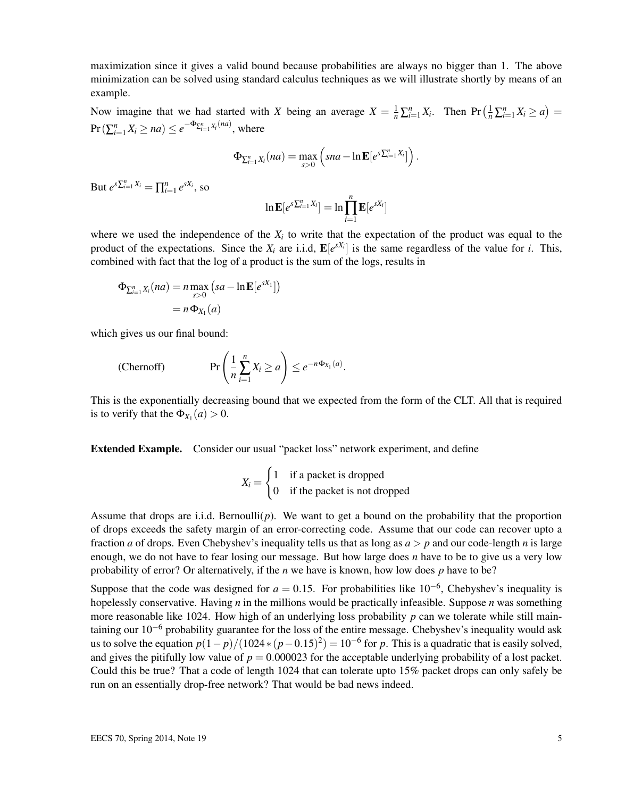maximization since it gives a valid bound because probabilities are always no bigger than 1. The above minimization can be solved using standard calculus techniques as we will illustrate shortly by means of an example.

Now imagine that we had started with *X* being an average  $X = \frac{1}{n} \sum_{i=1}^{n} X_i$ . Then  $Pr\left(\frac{1}{n} \sum_{i=1}^{n} X_i \ge a\right) =$  $\Pr\left(\sum_{i=1}^{n} X_i \ge na\right) \le e^{-\Phi_{\sum_{i=1}^{n} X_i}(na)},$  where

$$
\Phi_{\sum_{i=1}^n X_i}(na) = \max_{s>0} \left( sna - \ln \mathbf{E}[e^{s\sum_{i=1}^n X_i}]\right).
$$

But  $e^{s\sum_{i=1}^{n} X_i} = \prod_{i=1}^{n} e^{sX_i}$ , so

$$
\ln \mathbf{E}[e^{s\sum_{i=1}^{n}X_i}]=\ln \prod_{i=1}^{n} \mathbf{E}[e^{sX_i}]
$$

where we used the independence of the  $X_i$  to write that the expectation of the product was equal to the product of the expectations. Since the  $X_i$  are i.i.d,  $\mathbf{E}[e^{sX_i}]$  is the same regardless of the value for *i*. This, combined with fact that the log of a product is the sum of the logs, results in

$$
\Phi_{\sum_{i=1}^{n} X_i}(na) = n \max_{s>0} (sa - \ln \mathbf{E}[e^{sX_1}])
$$

$$
= n \Phi_{X_1}(a)
$$

which gives us our final bound:

(Chernoff) 
$$
\Pr\left(\frac{1}{n}\sum_{i=1}^{n}X_{i}\geq a\right)\leq e^{-n\Phi_{X_{1}}(a)}.
$$

This is the exponentially decreasing bound that we expected from the form of the CLT. All that is required is to verify that the  $\Phi_{X_1}(a) > 0$ .

Extended Example. Consider our usual "packet loss" network experiment, and define

$$
X_i = \begin{cases} 1 & \text{if a packet is dropped} \\ 0 & \text{if the packet is not dropped} \end{cases}
$$

Assume that drops are i.i.d. Bernoulli( $p$ ). We want to get a bound on the probability that the proportion of drops exceeds the safety margin of an error-correcting code. Assume that our code can recover upto a fraction *a* of drops. Even Chebyshev's inequality tells us that as long as  $a > p$  and our code-length *n* is large enough, we do not have to fear losing our message. But how large does *n* have to be to give us a very low probability of error? Or alternatively, if the *n* we have is known, how low does *p* have to be?

Suppose that the code was designed for  $a = 0.15$ . For probabilities like  $10^{-6}$ , Chebyshev's inequality is hopelessly conservative. Having *n* in the millions would be practically infeasible. Suppose *n* was something more reasonable like 1024. How high of an underlying loss probability *p* can we tolerate while still maintaining our  $10^{-6}$  probability guarantee for the loss of the entire message. Chebyshev's inequality would ask us to solve the equation  $p(1-p)/(1024*(p-0.15)^2) = 10^{-6}$  for p. This is a quadratic that is easily solved, and gives the pitifully low value of  $p = 0.000023$  for the acceptable underlying probability of a lost packet. Could this be true? That a code of length 1024 that can tolerate upto 15% packet drops can only safely be run on an essentially drop-free network? That would be bad news indeed.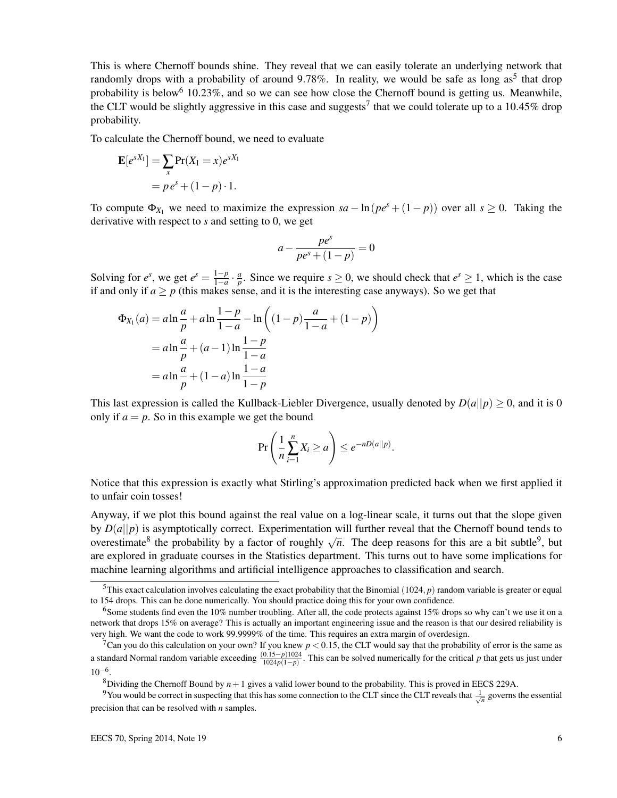This is where Chernoff bounds shine. They reveal that we can easily tolerate an underlying network that randomly drops with a probability of around 9.78%. In reality, we would be safe as long as<sup>5</sup> that drop probability is below<sup>6</sup> 10.23%, and so we can see how close the Chernoff bound is getting us. Meanwhile, the CLT would be slightly aggressive in this case and suggests<sup>7</sup> that we could tolerate up to a 10.45% drop probability.

To calculate the Chernoff bound, we need to evaluate

$$
\mathbf{E}[e^{sX_1}] = \sum_{x} \Pr(X_1 = x) e^{sX_1}
$$

$$
= p e^s + (1 - p) \cdot 1.
$$

To compute  $\Phi_{X_1}$  we need to maximize the expression  $sa - \ln(pe^s + (1-p))$  over all  $s \ge 0$ . Taking the derivative with respect to *s* and setting to 0, we get

$$
a - \frac{pe^s}{pe^s + (1 - p)} = 0
$$

Solving for  $e^s$ , we get  $e^s = \frac{1-p}{1-q}$ 1−*a* · *a*  $\frac{a}{p}$ . Since we require  $s \ge 0$ , we should check that  $e^s \ge 1$ , which is the case if and only if  $a \geq p$  (this makes sense, and it is the interesting case anyways). So we get that

$$
\Phi_{X_1}(a) = a \ln \frac{a}{p} + a \ln \frac{1-p}{1-a} - \ln \left( (1-p) \frac{a}{1-a} + (1-p) \right)
$$
  
=  $a \ln \frac{a}{p} + (a-1) \ln \frac{1-p}{1-a}$   
=  $a \ln \frac{a}{p} + (1-a) \ln \frac{1-a}{1-p}$ 

This last expression is called the Kullback-Liebler Divergence, usually denoted by  $D(a||p) \ge 0$ , and it is 0 only if  $a = p$ . So in this example we get the bound

$$
\Pr\left(\frac{1}{n}\sum_{i=1}^n X_i \ge a\right) \le e^{-nD(a||p)}.
$$

Notice that this expression is exactly what Stirling's approximation predicted back when we first applied it to unfair coin tosses!

Anyway, if we plot this bound against the real value on a log-linear scale, it turns out that the slope given by  $D(a||p)$  is asymptotically correct. Experimentation will further reveal that the Chernoff bound tends to  $\mathcal{D}(a||p)$  is asymptotically correct. Experimentation will future feveal that the Chefnon bound tends to overestimate<sup>8</sup> the probability by a factor of roughly  $\sqrt{n}$ . The deep reasons for this are a bit subtle<sup>9</sup>, but are explored in graduate courses in the Statistics department. This turns out to have some implications for machine learning algorithms and artificial intelligence approaches to classification and search.

<sup>&</sup>lt;sup>5</sup>This exact calculation involves calculating the exact probability that the Binomial (1024,  $p$ ) random variable is greater or equal to 154 drops. This can be done numerically. You should practice doing this for your own confidence.

<sup>&</sup>lt;sup>6</sup>Some students find even the 10% number troubling. After all, the code protects against 15% drops so why can't we use it on a network that drops 15% on average? This is actually an important engineering issue and the reason is that our desired reliability is very high. We want the code to work 99.9999% of the time. This requires an extra margin of overdesign.

<sup>&</sup>lt;sup>7</sup>Can you do this calculation on your own? If you knew  $p < 0.15$ , the CLT would say that the probability of error is the same as a standard Normal random variable exceeding  $\frac{(0.15-p)1024}{1024p(1-p)}$ . This can be solved numerically for the critical *p* that gets us just under  $10^{-6}$ .

<sup>&</sup>lt;sup>8</sup>Dividing the Chernoff Bound by  $n+1$  gives a valid lower bound to the probability. This is proved in EECS 229A.

<sup>&</sup>lt;sup>9</sup>You would be correct in suspecting that this has some connection to the CLT since the CLT reveals that  $\frac{1}{\sqrt{n}}$  governs the essential precision that can be resolved with *n* samples.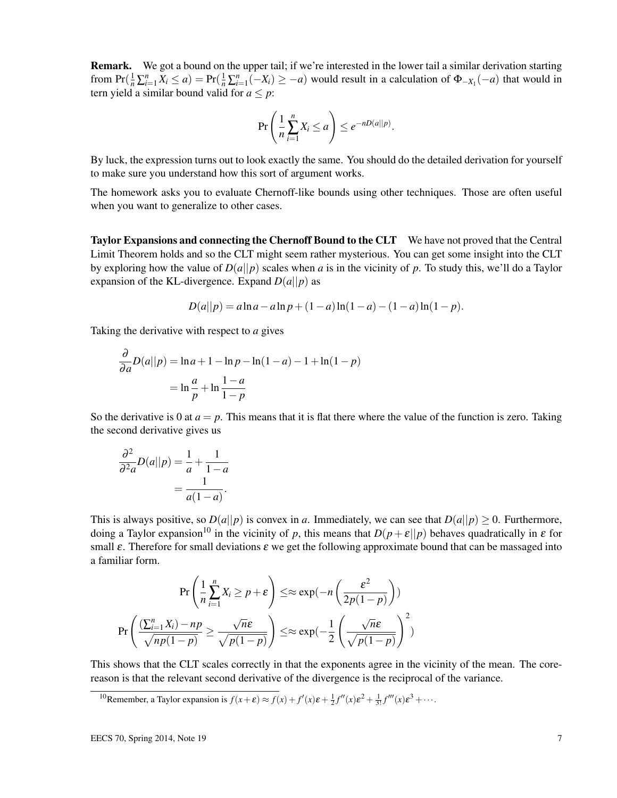Remark. We got a bound on the upper tail; if we're interested in the lower tail a similar derivation starting from  $Pr(\frac{1}{n}\sum_{i=1}^{n}X_i \le a) = Pr(\frac{1}{n}\sum_{i=1}^{n}(-X_i) \ge -a)$  would result in a calculation of  $\Phi_{-X_1}(-a)$  that would in tern yield a similar bound valid for  $a \leq p$ :

$$
\Pr\left(\frac{1}{n}\sum_{i=1}^n X_i \le a\right) \le e^{-nD(a||p)}.
$$

By luck, the expression turns out to look exactly the same. You should do the detailed derivation for yourself to make sure you understand how this sort of argument works.

The homework asks you to evaluate Chernoff-like bounds using other techniques. Those are often useful when you want to generalize to other cases.

Taylor Expansions and connecting the Chernoff Bound to the CLT We have not proved that the Central Limit Theorem holds and so the CLT might seem rather mysterious. You can get some insight into the CLT by exploring how the value of  $D(a||p)$  scales when *a* is in the vicinity of *p*. To study this, we'll do a Taylor expansion of the KL-divergence. Expand  $D(a||p)$  as

$$
D(a||p) = a \ln a - a \ln p + (1 - a) \ln(1 - a) - (1 - a) \ln(1 - p).
$$

Taking the derivative with respect to *a* gives

$$
\frac{\partial}{\partial a}D(a||p) = \ln a + 1 - \ln p - \ln(1 - a) - 1 + \ln(1 - p)
$$

$$
= \ln \frac{a}{p} + \ln \frac{1 - a}{1 - p}
$$

So the derivative is 0 at  $a = p$ . This means that it is flat there where the value of the function is zero. Taking the second derivative gives us

$$
\frac{\partial^2}{\partial^2 a}D(a||p) = \frac{1}{a} + \frac{1}{1-a}
$$

$$
= \frac{1}{a(1-a)}.
$$

This is always positive, so  $D(a||p)$  is convex in *a*. Immediately, we can see that  $D(a||p) \ge 0$ . Furthermore, doing a Taylor expansion<sup>10</sup> in the vicinity of *p*, this means that  $D(p+\varepsilon||p)$  behaves quadratically in  $\varepsilon$  for small  $\varepsilon$ . Therefore for small deviations  $\varepsilon$  we get the following approximate bound that can be massaged into a familiar form.

$$
\Pr\left(\frac{1}{n}\sum_{i=1}^{n}X_{i} \ge p + \varepsilon\right) \le \approx \exp(-n\left(\frac{\varepsilon^{2}}{2p(1-p)}\right))
$$
\n
$$
\Pr\left(\frac{(\sum_{i=1}^{n}X_{i}) - np}{\sqrt{np(1-p)}} \ge \frac{\sqrt{n}\varepsilon}{\sqrt{p(1-p)}}\right) \le \approx \exp(-\frac{1}{2}\left(\frac{\sqrt{n}\varepsilon}{\sqrt{p(1-p)}}\right)^{2})
$$

This shows that the CLT scales correctly in that the exponents agree in the vicinity of the mean. The corereason is that the relevant second derivative of the divergence is the reciprocal of the variance.

<sup>10</sup>Remember, a Taylor expansion is  $f(x+\varepsilon) \approx f(x) + f'(x)\varepsilon + \frac{1}{2}f''(x)\varepsilon^2 + \frac{1}{3!}f'''(x)\varepsilon^3 + \cdots$ .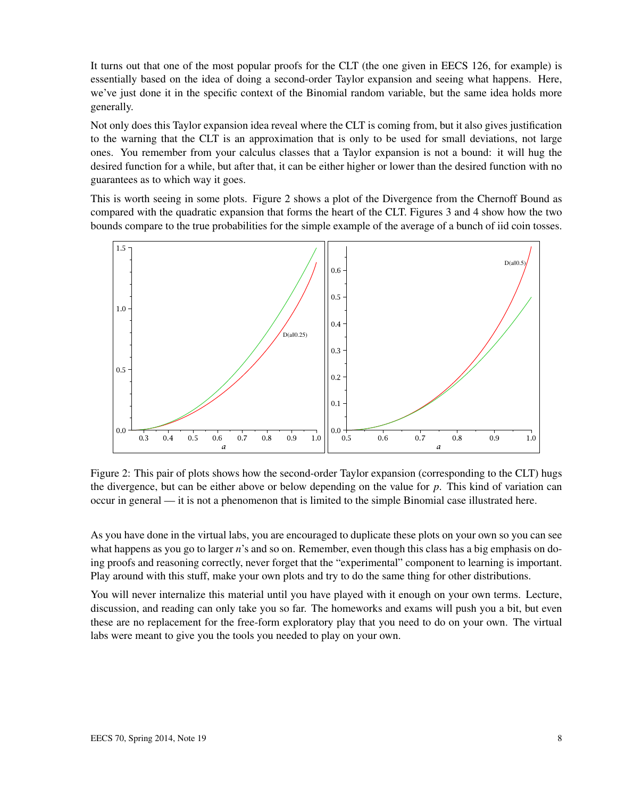It turns out that one of the most popular proofs for the CLT (the one given in EECS 126, for example) is essentially based on the idea of doing a second-order Taylor expansion and seeing what happens. Here, we've just done it in the specific context of the Binomial random variable, but the same idea holds more generally.

Not only does this Taylor expansion idea reveal where the CLT is coming from, but it also gives justification to the warning that the CLT is an approximation that is only to be used for small deviations, not large ones. You remember from your calculus classes that a Taylor expansion is not a bound: it will hug the desired function for a while, but after that, it can be either higher or lower than the desired function with no guarantees as to which way it goes.

This is worth seeing in some plots. Figure 2 shows a plot of the Divergence from the Chernoff Bound as compared with the quadratic expansion that forms the heart of the CLT. Figures 3 and 4 show how the two bounds compare to the true probabilities for the simple example of the average of a bunch of iid coin tosses.



Figure 2: This pair of plots shows how the second-order Taylor expansion (corresponding to the CLT) hugs the divergence, but can be either above or below depending on the value for *p*. This kind of variation can occur in general — it is not a phenomenon that is limited to the simple Binomial case illustrated here.

As you have done in the virtual labs, you are encouraged to duplicate these plots on your own so you can see what happens as you go to larger *n*'s and so on. Remember, even though this class has a big emphasis on doing proofs and reasoning correctly, never forget that the "experimental" component to learning is important. Play around with this stuff, make your own plots and try to do the same thing for other distributions.

You will never internalize this material until you have played with it enough on your own terms. Lecture, discussion, and reading can only take you so far. The homeworks and exams will push you a bit, but even these are no replacement for the free-form exploratory play that you need to do on your own. The virtual labs were meant to give you the tools you needed to play on your own.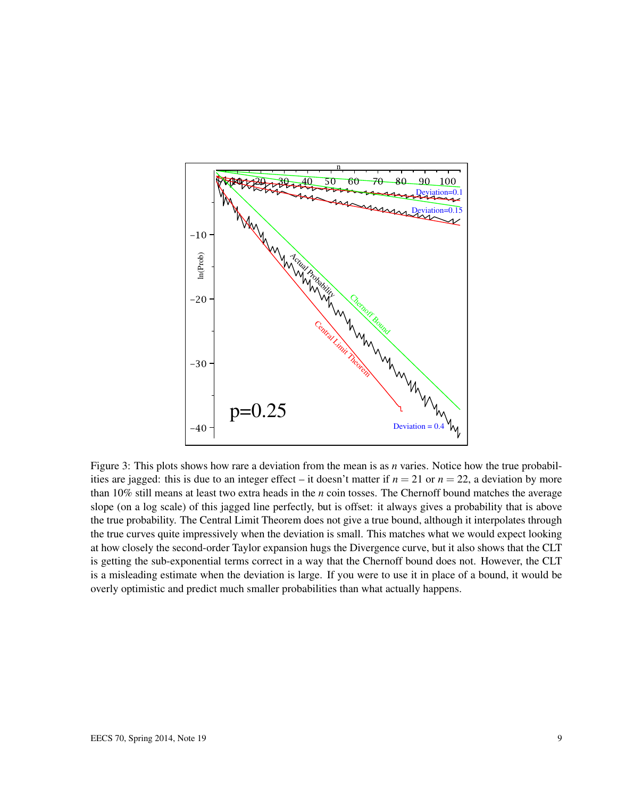

Figure 3: This plots shows how rare a deviation from the mean is as *n* varies. Notice how the true probabilities are jagged: this is due to an integer effect – it doesn't matter if  $n = 21$  or  $n = 22$ , a deviation by more than 10% still means at least two extra heads in the *n* coin tosses. The Chernoff bound matches the average slope (on a log scale) of this jagged line perfectly, but is offset: it always gives a probability that is above the true probability. The Central Limit Theorem does not give a true bound, although it interpolates through the true curves quite impressively when the deviation is small. This matches what we would expect looking at how closely the second-order Taylor expansion hugs the Divergence curve, but it also shows that the CLT is getting the sub-exponential terms correct in a way that the Chernoff bound does not. However, the CLT is a misleading estimate when the deviation is large. If you were to use it in place of a bound, it would be overly optimistic and predict much smaller probabilities than what actually happens.